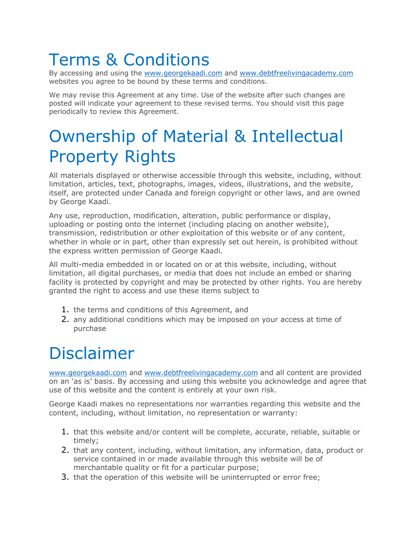# Terms & Conditions

By accessing and using the www.georgekaadi.com and www.debtfreelivingacademy.com websites you agree to be bound by these terms and conditions.

We may revise this Agreement at any time. Use of the website after such changes are posted will indicate your agreement to these revised terms. You should visit this page periodically to review this Agreement.

## Ownership of Material & Intellectual Property Rights

All materials displayed or otherwise accessible through this website, including, without limitation, articles, text, photographs, images, videos, illustrations, and the website, itself, are protected under Canada and foreign copyright or other laws, and are owned by George Kaadi.

Any use, reproduction, modification, alteration, public performance or display, uploading or posting onto the internet (including placing on another website), transmission, redistribution or other exploitation of this website or of any content, whether in whole or in part, other than expressly set out herein, is prohibited without the express written permission of George Kaadi.

All multi-media embedded in or located on or at this website, including, without limitation, all digital purchases, or media that does not include an embed or sharing facility is protected by copyright and may be protected by other rights. You are hereby granted the right to access and use these items subject to

- 1. the terms and conditions of this Agreement, and
- 2. any additional conditions which may be imposed on your access at time of purchase

## Disclaimer

www.georgekaadi.com and www.debtfreelivingacademy.com and all content are provided on an 'as is' basis. By accessing and using this website you acknowledge and agree that use of this website and the content is entirely at your own risk.

George Kaadi makes no representations nor warranties regarding this website and the content, including, without limitation, no representation or warranty:

- 1. that this website and/or content will be complete, accurate, reliable, suitable or timely;
- 2. that any content, including, without limitation, any information, data, product or service contained in or made available through this website will be of merchantable quality or fit for a particular purpose;
- 3. that the operation of this website will be uninterrupted or error free;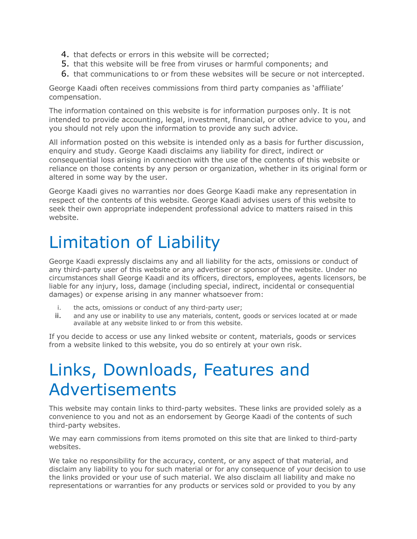- 4. that defects or errors in this website will be corrected;
- 5. that this website will be free from viruses or harmful components; and
- 6. that communications to or from these websites will be secure or not intercepted.

George Kaadi often receives commissions from third party companies as 'affiliate' compensation.

The information contained on this website is for information purposes only. It is not intended to provide accounting, legal, investment, financial, or other advice to you, and you should not rely upon the information to provide any such advice.

All information posted on this website is intended only as a basis for further discussion, enquiry and study. George Kaadi disclaims any liability for direct, indirect or consequential loss arising in connection with the use of the contents of this website or reliance on those contents by any person or organization, whether in its original form or altered in some way by the user.

George Kaadi gives no warranties nor does George Kaadi make any representation in respect of the contents of this website. George Kaadi advises users of this website to seek their own appropriate independent professional advice to matters raised in this website.

# Limitation of Liability

George Kaadi expressly disclaims any and all liability for the acts, omissions or conduct of any third-party user of this website or any advertiser or sponsor of the website. Under no circumstances shall George Kaadi and its officers, directors, employees, agents licensors, be liable for any injury, loss, damage (including special, indirect, incidental or consequential damages) or expense arising in any manner whatsoever from:

- i. the acts, omissions or conduct of any third-party user;
- ii. and any use or inability to use any materials, content, goods or services located at or made available at any website linked to or from this website.

If you decide to access or use any linked website or content, materials, goods or services from a website linked to this website, you do so entirely at your own risk.

## Links, Downloads, Features and Advertisements

This website may contain links to third-party websites. These links are provided solely as a convenience to you and not as an endorsement by George Kaadi of the contents of such third-party websites.

We may earn commissions from items promoted on this site that are linked to third-party websites.

We take no responsibility for the accuracy, content, or any aspect of that material, and disclaim any liability to you for such material or for any consequence of your decision to use the links provided or your use of such material. We also disclaim all liability and make no representations or warranties for any products or services sold or provided to you by any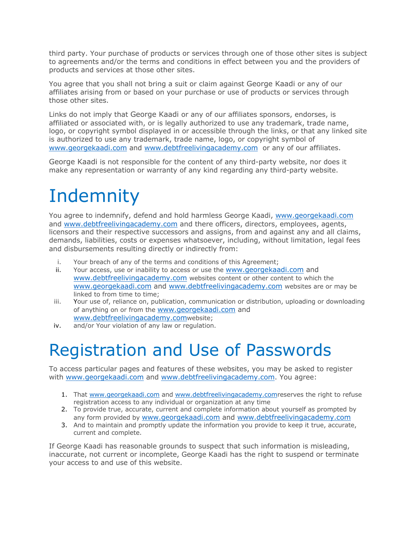third party. Your purchase of products or services through one of those other sites is subject to agreements and/or the terms and conditions in effect between you and the providers of products and services at those other sites.

You agree that you shall not bring a suit or claim against George Kaadi or any of our affiliates arising from or based on your purchase or use of products or services through those other sites.

Links do not imply that George Kaadi or any of our affiliates sponsors, endorses, is affiliated or associated with, or is legally authorized to use any trademark, trade name, logo, or copyright symbol displayed in or accessible through the links, or that any linked site is authorized to use any trademark, trade name, logo, or copyright symbol of www.georgekaadi.com and www.debtfreelivingacademy.com or any of our affiliates.

George Kaadi is not responsible for the content of any third-party website, nor does it make any representation or warranty of any kind regarding any third-party website.

# **Indemnity**

You agree to indemnify, defend and hold harmless George Kaadi, www.georgekaadi.com and www.debtfreelivingacademy.com and there officers, directors, employees, agents, licensors and their respective successors and assigns, from and against any and all claims, demands, liabilities, costs or expenses whatsoever, including, without limitation, legal fees and disbursements resulting directly or indirectly from:

- i. Your breach of any of the terms and conditions of this Agreement;
- ii. Your access, use or inability to access or use the www.georgekaadi.com and www.debtfreelivingacademy.com websites content or other content to which the www.georgekaadi.com and www.debtfreelivingacademy.com websites are or may be linked to from time to time;
- iii. Your use of, reliance on, publication, communication or distribution, uploading or downloading of anything on or from the www.georgekaadi.com and www.debtfreelivingacademy.comwebsite;
- iv. and/or Your violation of any law or regulation.

## Registration and Use of Passwords

To access particular pages and features of these websites, you may be asked to register with www.georgekaadi.com and www.debtfreelivingacademy.com. You agree:

- 1. That www.georgekaadi.com and www.debtfreelivingacademy.comreserves the right to refuse registration access to any individual or organization at any time
- 2. To provide true, accurate, current and complete information about yourself as prompted by any form provided by www.georgekaadi.com and www.debtfreelivingacademy.com
- 3. And to maintain and promptly update the information you provide to keep it true, accurate, current and complete.

If George Kaadi has reasonable grounds to suspect that such information is misleading, inaccurate, not current or incomplete, George Kaadi has the right to suspend or terminate your access to and use of this website.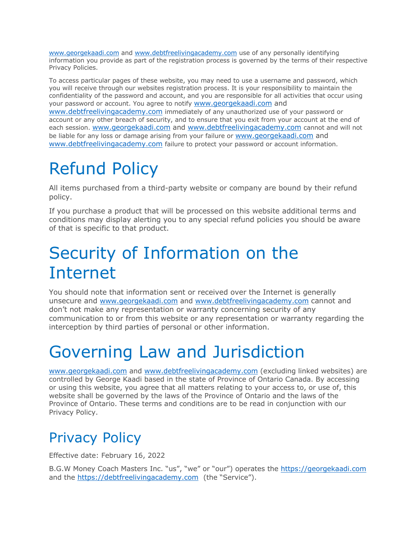www.georgekaadi.com and www.debtfreelivingacademy.com use of any personally identifying information you provide as part of the registration process is governed by the terms of their respective Privacy Policies.

To access particular pages of these website, you may need to use a username and password, which you will receive through our websites registration process. It is your responsibility to maintain the confidentiality of the password and account, and you are responsible for all activities that occur using your password or account. You agree to notify www.georgekaadi.com and www.debtfreelivingacademy.com immediately of any unauthorized use of your password or account or any other breach of security, and to ensure that you exit from your account at the end of each session. www.georgekaadi.com and www.debtfreelivingacademy.com cannot and will not be liable for any loss or damage arising from your failure or www.georgekaadi.com and www.debtfreelivingacademy.com failure to protect your password or account information.

# Refund Policy

All items purchased from a third-party website or company are bound by their refund policy.

If you purchase a product that will be processed on this website additional terms and conditions may display alerting you to any special refund policies you should be aware of that is specific to that product.

## Security of Information on the Internet

You should note that information sent or received over the Internet is generally unsecure and www.georgekaadi.com and www.debtfreelivingacademy.com cannot and don't not make any representation or warranty concerning security of any communication to or from this website or any representation or warranty regarding the interception by third parties of personal or other information.

# Governing Law and Jurisdiction

www.georgekaadi.com and www.debtfreelivingacademy.com (excluding linked websites) are controlled by George Kaadi based in the state of Province of Ontario Canada. By accessing or using this website, you agree that all matters relating to your access to, or use of, this website shall be governed by the laws of the Province of Ontario and the laws of the Province of Ontario. These terms and conditions are to be read in conjunction with our Privacy Policy.

### Privacy Policy

Effective date: February 16, 2022

B.G.W Money Coach Masters Inc. "us", "we" or "our") operates the https://georgekaadi.com and the https://debtfreelivingacademy.com (the "Service").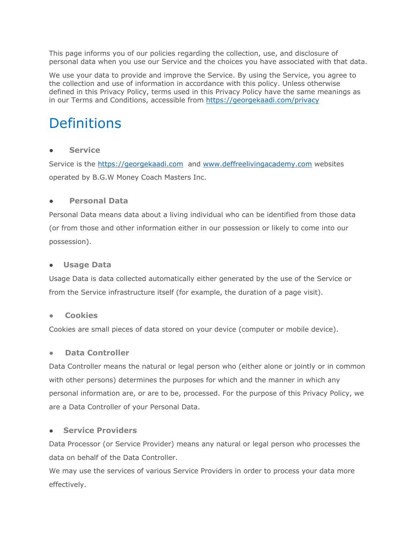This page informs you of our policies regarding the collection, use, and disclosure of personal data when you use our Service and the choices you have associated with that data.

We use your data to provide and improve the Service. By using the Service, you agree to the collection and use of information in accordance with this policy. Unless otherwise defined in this Privacy Policy, terms used in this Privacy Policy have the same meanings as in our Terms and Conditions, accessible from https://georgekaadi.com/privacy

### **Definitions**

#### **Service**

Service is the https://georgekaadi.com and www.deffreelivingacademy.com websites operated by B.G.W Money Coach Masters Inc.

#### ● **Personal Data**

Personal Data means data about a living individual who can be identified from those data (or from those and other information either in our possession or likely to come into our possession).

#### **Usage Data**

Usage Data is data collected automatically either generated by the use of the Service or from the Service infrastructure itself (for example, the duration of a page visit).

#### ● **Cookies**

Cookies are small pieces of data stored on your device (computer or mobile device).

#### ● **Data Controller**

Data Controller means the natural or legal person who (either alone or jointly or in common with other persons) determines the purposes for which and the manner in which any personal information are, or are to be, processed. For the purpose of this Privacy Policy, we are a Data Controller of your Personal Data.

#### **Service Providers**

Data Processor (or Service Provider) means any natural or legal person who processes the data on behalf of the Data Controller.

We may use the services of various Service Providers in order to process your data more effectively.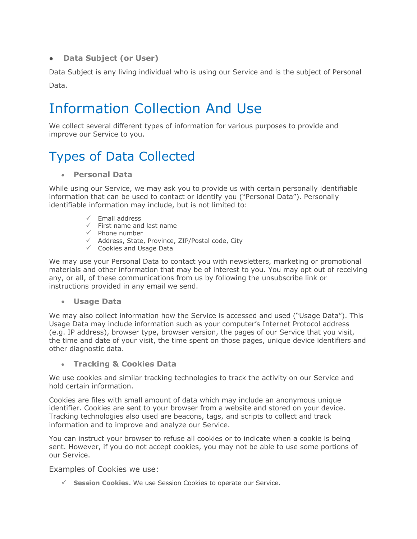#### ● **Data Subject (or User)**

Data Subject is any living individual who is using our Service and is the subject of Personal Data.

## Information Collection And Use

We collect several different types of information for various purposes to provide and improve our Service to you.

#### Types of Data Collected

• **Personal Data**

While using our Service, we may ask you to provide us with certain personally identifiable information that can be used to contact or identify you ("Personal Data"). Personally identifiable information may include, but is not limited to:

- $\checkmark$  Email address
- $\checkmark$  First name and last name
- $\checkmark$  Phone number
- $\checkmark$  Address, State, Province, ZIP/Postal code, City
- $\checkmark$  Cookies and Usage Data

We may use your Personal Data to contact you with newsletters, marketing or promotional materials and other information that may be of interest to you. You may opt out of receiving any, or all, of these communications from us by following the unsubscribe link or instructions provided in any email we send.

• **Usage Data**

We may also collect information how the Service is accessed and used ("Usage Data"). This Usage Data may include information such as your computer's Internet Protocol address (e.g. IP address), browser type, browser version, the pages of our Service that you visit, the time and date of your visit, the time spent on those pages, unique device identifiers and other diagnostic data.

#### • **Tracking & Cookies Data**

We use cookies and similar tracking technologies to track the activity on our Service and hold certain information.

Cookies are files with small amount of data which may include an anonymous unique identifier. Cookies are sent to your browser from a website and stored on your device. Tracking technologies also used are beacons, tags, and scripts to collect and track information and to improve and analyze our Service.

You can instruct your browser to refuse all cookies or to indicate when a cookie is being sent. However, if you do not accept cookies, you may not be able to use some portions of our Service.

Examples of Cookies we use:

ü **Session Cookies.** We use Session Cookies to operate our Service.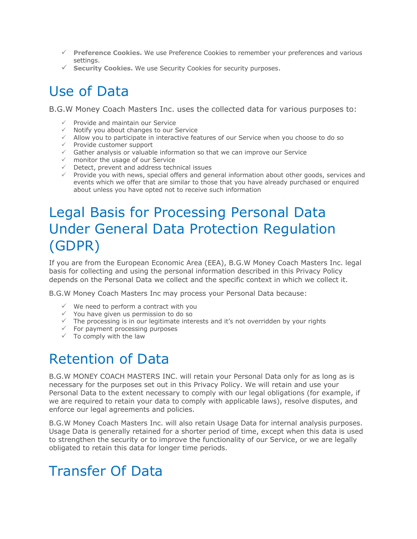- ü **Preference Cookies.** We use Preference Cookies to remember your preferences and various settings.
- ü **Security Cookies.** We use Security Cookies for security purposes.

### Use of Data

B.G.W Money Coach Masters Inc. uses the collected data for various purposes to:

- $\checkmark$  Provide and maintain our Service
- $\checkmark$  Notify you about changes to our Service
- $\checkmark$  Allow you to participate in interactive features of our Service when you choose to do so
- $\checkmark$  Provide customer support
- $\checkmark$  Gather analysis or valuable information so that we can improve our Service
- $\nu$  monitor the usage of our Service
- $\checkmark$  Detect, prevent and address technical issues
- $\checkmark$  Provide you with news, special offers and general information about other goods, services and events which we offer that are similar to those that you have already purchased or enquired about unless you have opted not to receive such information

### Legal Basis for Processing Personal Data Under General Data Protection Regulation (GDPR)

If you are from the European Economic Area (EEA), B.G.W Money Coach Masters Inc. legal basis for collecting and using the personal information described in this Privacy Policy depends on the Personal Data we collect and the specific context in which we collect it.

B.G.W Money Coach Masters Inc may process your Personal Data because:

- $\checkmark$  We need to perform a contract with you
- $\checkmark$  You have given us permission to do so
- $\checkmark$  The processing is in our legitimate interests and it's not overridden by your rights
- $\checkmark$  For payment processing purposes
- $\checkmark$  To comply with the law

#### Retention of Data

B.G.W MONEY COACH MASTERS INC. will retain your Personal Data only for as long as is necessary for the purposes set out in this Privacy Policy. We will retain and use your Personal Data to the extent necessary to comply with our legal obligations (for example, if we are required to retain your data to comply with applicable laws), resolve disputes, and enforce our legal agreements and policies.

B.G.W Money Coach Masters Inc. will also retain Usage Data for internal analysis purposes. Usage Data is generally retained for a shorter period of time, except when this data is used to strengthen the security or to improve the functionality of our Service, or we are legally obligated to retain this data for longer time periods.

## Transfer Of Data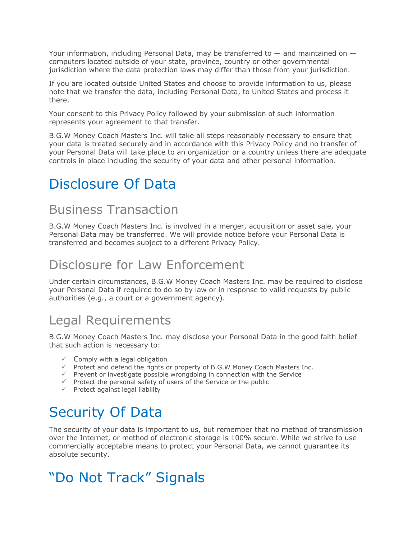Your information, including Personal Data, may be transferred to  $-$  and maintained on  $$ computers located outside of your state, province, country or other governmental jurisdiction where the data protection laws may differ than those from your jurisdiction.

If you are located outside United States and choose to provide information to us, please note that we transfer the data, including Personal Data, to United States and process it there.

Your consent to this Privacy Policy followed by your submission of such information represents your agreement to that transfer.

B.G.W Money Coach Masters Inc. will take all steps reasonably necessary to ensure that your data is treated securely and in accordance with this Privacy Policy and no transfer of your Personal Data will take place to an organization or a country unless there are adequate controls in place including the security of your data and other personal information.

### Disclosure Of Data

#### Business Transaction

B.G.W Money Coach Masters Inc. is involved in a merger, acquisition or asset sale, your Personal Data may be transferred. We will provide notice before your Personal Data is transferred and becomes subject to a different Privacy Policy.

#### Disclosure for Law Enforcement

Under certain circumstances, B.G.W Money Coach Masters Inc. may be required to disclose your Personal Data if required to do so by law or in response to valid requests by public authorities (e.g., a court or a government agency).

#### Legal Requirements

B.G.W Money Coach Masters Inc. may disclose your Personal Data in the good faith belief that such action is necessary to:

- $\checkmark$  Comply with a legal obligation
- $\checkmark$  Protect and defend the rights or property of B.G.W Money Coach Masters Inc.
- $\checkmark$  Prevent or investigate possible wrongdoing in connection with the Service
- $\checkmark$  Protect the personal safety of users of the Service or the public
- $\checkmark$  Protect against legal liability

## Security Of Data

The security of your data is important to us, but remember that no method of transmission over the Internet, or method of electronic storage is 100% secure. While we strive to use commercially acceptable means to protect your Personal Data, we cannot guarantee its absolute security.

## "Do Not Track" Signals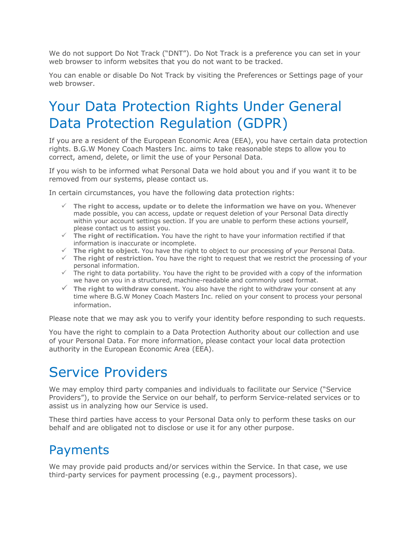We do not support Do Not Track ("DNT"). Do Not Track is a preference you can set in your web browser to inform websites that you do not want to be tracked.

You can enable or disable Do Not Track by visiting the Preferences or Settings page of your web browser.

### Your Data Protection Rights Under General Data Protection Regulation (GDPR)

If you are a resident of the European Economic Area (EEA), you have certain data protection rights. B.G.W Money Coach Masters Inc. aims to take reasonable steps to allow you to correct, amend, delete, or limit the use of your Personal Data.

If you wish to be informed what Personal Data we hold about you and if you want it to be removed from our systems, please contact us.

In certain circumstances, you have the following data protection rights:

- $\checkmark$  The right to access, update or to delete the information we have on you. Whenever made possible, you can access, update or request deletion of your Personal Data directly within your account settings section. If you are unable to perform these actions yourself, please contact us to assist you.
- $\checkmark$  The right of rectification. You have the right to have your information rectified if that information is inaccurate or incomplete.
- $\checkmark$  The right to object. You have the right to object to our processing of your Personal Data.
- ü **The right of restriction.** You have the right to request that we restrict the processing of your personal information.
- $\checkmark$  The right to data portability. You have the right to be provided with a copy of the information we have on you in a structured, machine-readable and commonly used format.
- $\checkmark$  The right to withdraw consent. You also have the right to withdraw your consent at any time where B.G.W Money Coach Masters Inc. relied on your consent to process your personal information.

Please note that we may ask you to verify your identity before responding to such requests.

You have the right to complain to a Data Protection Authority about our collection and use of your Personal Data. For more information, please contact your local data protection authority in the European Economic Area (EEA).

### Service Providers

We may employ third party companies and individuals to facilitate our Service ("Service Providers"), to provide the Service on our behalf, to perform Service-related services or to assist us in analyzing how our Service is used.

These third parties have access to your Personal Data only to perform these tasks on our behalf and are obligated not to disclose or use it for any other purpose.

#### Payments

We may provide paid products and/or services within the Service. In that case, we use third-party services for payment processing (e.g., payment processors).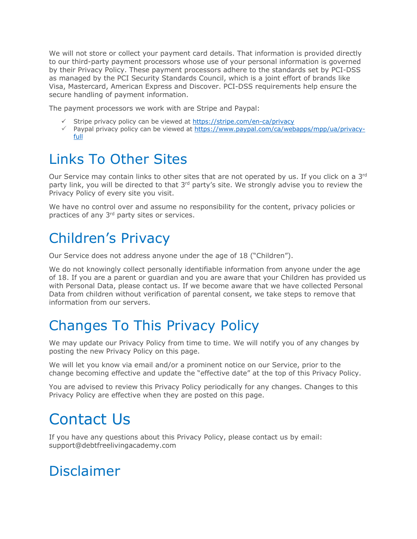We will not store or collect your payment card details. That information is provided directly to our third-party payment processors whose use of your personal information is governed by their Privacy Policy. These payment processors adhere to the standards set by PCI-DSS as managed by the PCI Security Standards Council, which is a joint effort of brands like Visa, Mastercard, American Express and Discover. PCI-DSS requirements help ensure the secure handling of payment information.

The payment processors we work with are Stripe and Paypal:

- $\checkmark$  Stripe privacy policy can be viewed at https://stripe.com/en-ca/privacy
- $\checkmark$  Paypal privacy policy can be viewed at https://www.paypal.com/ca/webapps/mpp/ua/privacyfull

#### Links To Other Sites

Our Service may contain links to other sites that are not operated by us. If you click on a  $3<sup>rd</sup>$ party link, you will be directed to that  $3<sup>rd</sup>$  party's site. We strongly advise you to review the Privacy Policy of every site you visit.

We have no control over and assume no responsibility for the content, privacy policies or practices of any 3<sup>rd</sup> party sites or services.

#### Children's Privacy

Our Service does not address anyone under the age of 18 ("Children").

We do not knowingly collect personally identifiable information from anyone under the age of 18. If you are a parent or guardian and you are aware that your Children has provided us with Personal Data, please contact us. If we become aware that we have collected Personal Data from children without verification of parental consent, we take steps to remove that information from our servers.

### Changes To This Privacy Policy

We may update our Privacy Policy from time to time. We will notify you of any changes by posting the new Privacy Policy on this page.

We will let you know via email and/or a prominent notice on our Service, prior to the change becoming effective and update the "effective date" at the top of this Privacy Policy.

You are advised to review this Privacy Policy periodically for any changes. Changes to this Privacy Policy are effective when they are posted on this page.

## Contact Us

If you have any questions about this Privacy Policy, please contact us by email: support@debtfreelivingacademy.com

### Disclaimer